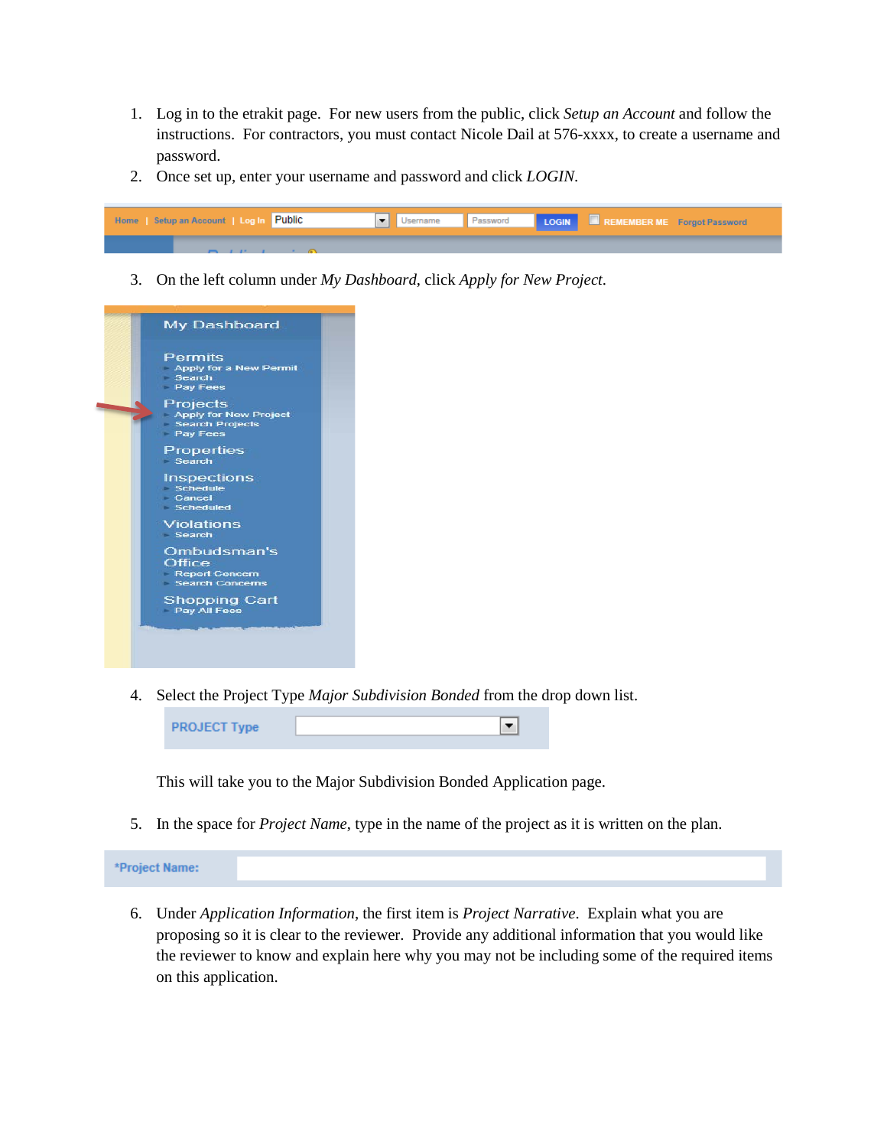- 1. Log in to the etrakit page. For new users from the public, click *Setup an Account* and follow the instructions. For contractors, you must contact Nicole Dail at 576-xxxx, to create a username and password.
- 2. Once set up, enter your username and password and click *LOGIN*.



3. On the left column under *My Dashboard*, click *Apply for New Project*.



4. Select the Project Type *Major Subdivision Bonded* from the drop down list.

| <b>PROJECT Type</b> |  |
|---------------------|--|
|                     |  |

This will take you to the Major Subdivision Bonded Application page.

5. In the space for *Project Name*, type in the name of the project as it is written on the plan.

\*Project Name:

6. Under *Application Information*, the first item is *Project Narrative*. Explain what you are proposing so it is clear to the reviewer. Provide any additional information that you would like the reviewer to know and explain here why you may not be including some of the required items on this application.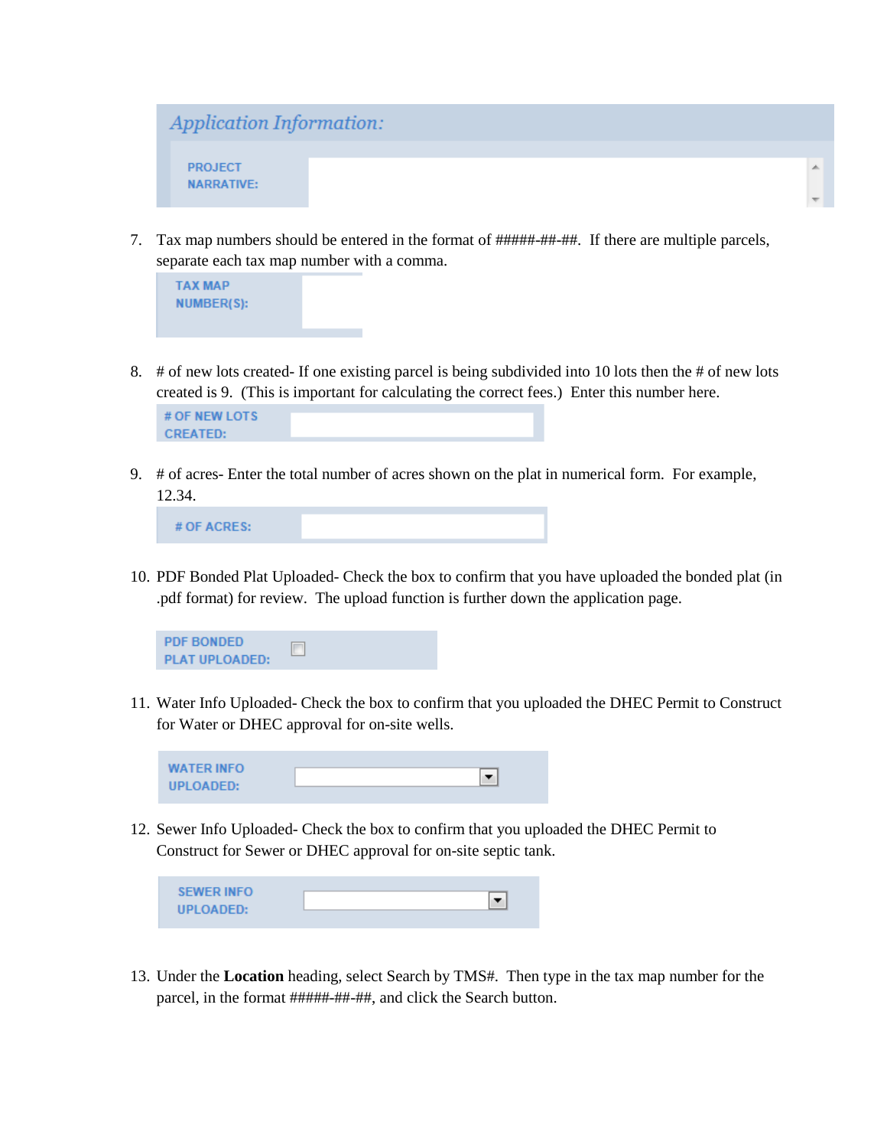

7. Tax map numbers should be entered in the format of #####-##-##. If there are multiple parcels, separate each tax map number with a comma.



8. # of new lots created- If one existing parcel is being subdivided into 10 lots then the # of new lots created is 9. (This is important for calculating the correct fees.) Enter this number here.

9. # of acres- Enter the total number of acres shown on the plat in numerical form. For example, 12.34.

# OF ACRES:

10. PDF Bonded Plat Uploaded- Check the box to confirm that you have uploaded the bonded plat (in .pdf format) for review. The upload function is further down the application page.



11. Water Info Uploaded- Check the box to confirm that you uploaded the DHEC Permit to Construct for Water or DHEC approval for on-site wells.

| <b>WATER INFO</b> |  |
|-------------------|--|
|                   |  |
| <b>UPLOADED:</b>  |  |
|                   |  |

12. Sewer Info Uploaded- Check the box to confirm that you uploaded the DHEC Permit to Construct for Sewer or DHEC approval for on-site septic tank.

| <b>SEWER INFO</b> |  |
|-------------------|--|
|                   |  |
| UPLOADED:         |  |
|                   |  |

13. Under the **Location** heading, select Search by TMS#. Then type in the tax map number for the parcel, in the format #####-##-##, and click the Search button.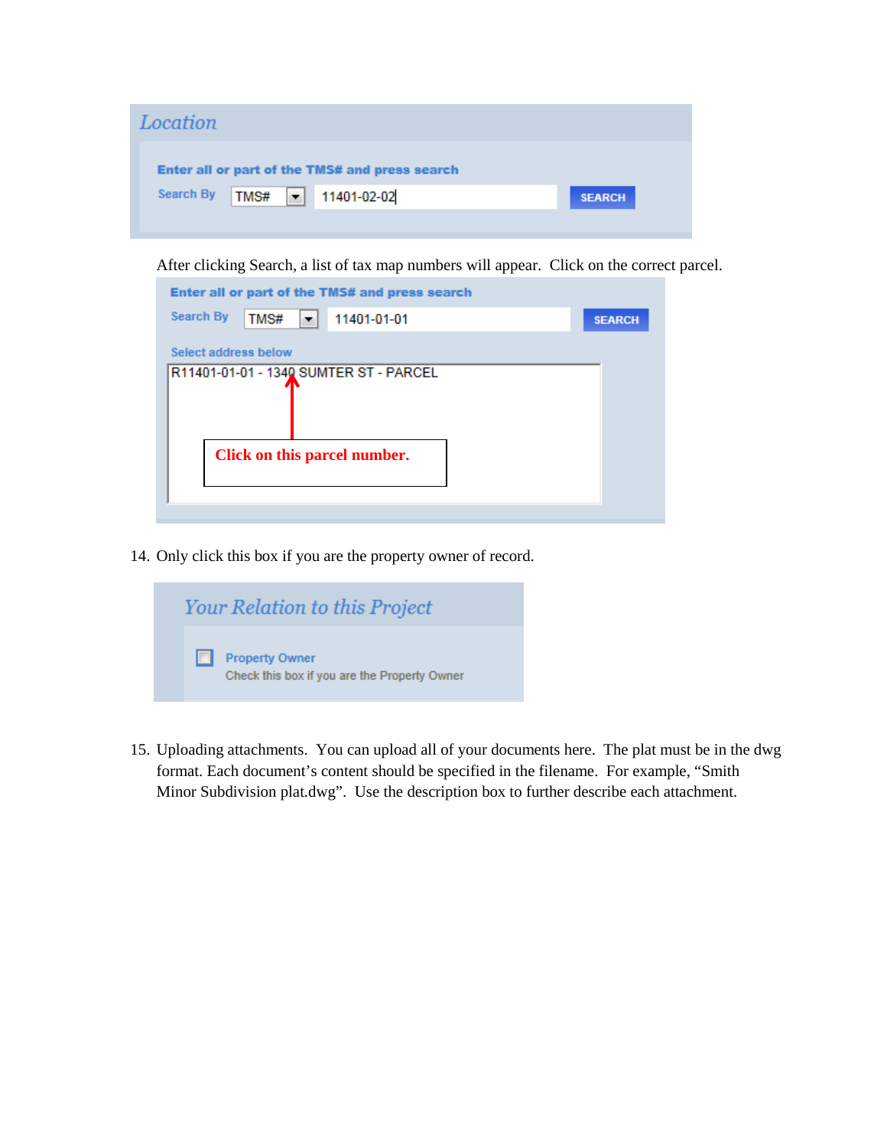| Location                                       |               |
|------------------------------------------------|---------------|
| Enter all or part of the TMS# and press search |               |
| Search By<br>$TMS#$ - 11401-02-02              | <b>SEARCH</b> |
|                                                |               |

After clicking Search, a list of tax map numbers will appear. Click on the correct parcel.

| Enter all or part of the TMS# and press search |               |
|------------------------------------------------|---------------|
| <b>Search By</b><br>TMS#<br>11401-01-01<br>▼   | <b>SEARCH</b> |
| Select address below                           |               |
| R11401-01-01 - 1340 SUMTER ST - PARCEL         |               |
|                                                |               |
|                                                |               |
| Click on this parcel number.                   |               |
|                                                |               |
|                                                |               |

14. Only click this box if you are the property owner of record.

|   | <b>Your Relation to this Project</b>                                  |
|---|-----------------------------------------------------------------------|
| m | <b>Property Owner</b><br>Check this box if you are the Property Owner |

15. Uploading attachments. You can upload all of your documents here. The plat must be in the dwg format. Each document's content should be specified in the filename. For example, "Smith Minor Subdivision plat.dwg". Use the description box to further describe each attachment.